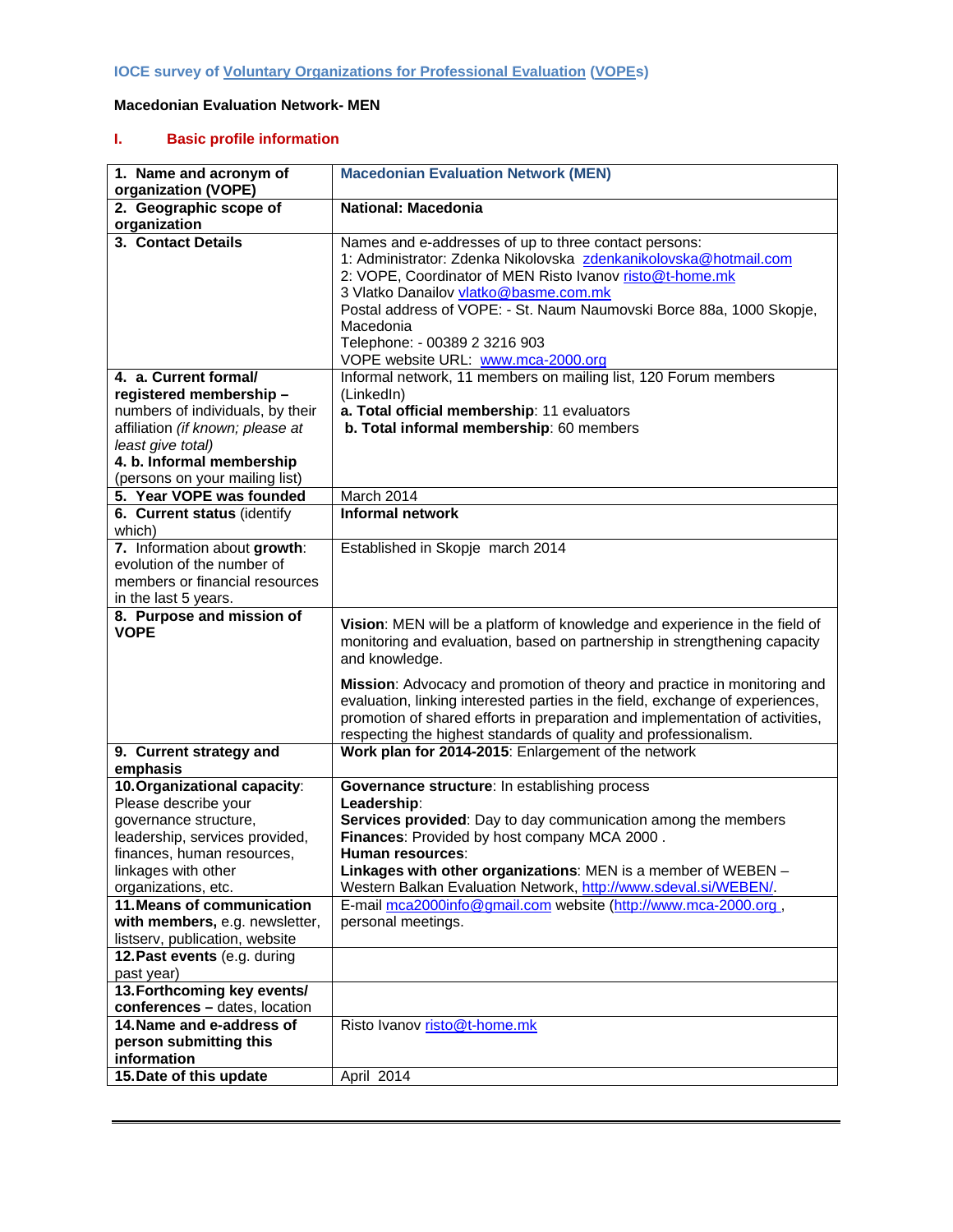## **Macedonian Evaluation Network- MEN**

## **I. Basic profile information**

| 1. Name and acronym of<br>organization (VOPE)                                                                                                                                                               | <b>Macedonian Evaluation Network (MEN)</b>                                                                                                                                                                                                                                                                                                                                                                                                                                                 |
|-------------------------------------------------------------------------------------------------------------------------------------------------------------------------------------------------------------|--------------------------------------------------------------------------------------------------------------------------------------------------------------------------------------------------------------------------------------------------------------------------------------------------------------------------------------------------------------------------------------------------------------------------------------------------------------------------------------------|
| 2. Geographic scope of<br>organization                                                                                                                                                                      | <b>National: Macedonia</b>                                                                                                                                                                                                                                                                                                                                                                                                                                                                 |
| 3. Contact Details                                                                                                                                                                                          | Names and e-addresses of up to three contact persons:<br>1: Administrator: Zdenka Nikolovska zdenkanikolovska@hotmail.com<br>2: VOPE, Coordinator of MEN Risto Ivanov risto@t-home.mk<br>3 Vlatko Danailov vlatko@basme.com.mk<br>Postal address of VOPE: - St. Naum Naumovski Borce 88a, 1000 Skopje,<br>Macedonia<br>Telephone: - 00389 2 3216 903<br>VOPE website URL: www.mca-2000.org                                                                                                 |
| 4. a. Current formal/<br>registered membership-<br>numbers of individuals, by their<br>affiliation (if known; please at<br>least give total)<br>4. b. Informal membership<br>(persons on your mailing list) | Informal network, 11 members on mailing list, 120 Forum members<br>(LinkedIn)<br>a. Total official membership: 11 evaluators<br>b. Total informal membership: 60 members                                                                                                                                                                                                                                                                                                                   |
| 5. Year VOPE was founded                                                                                                                                                                                    | March 2014                                                                                                                                                                                                                                                                                                                                                                                                                                                                                 |
| 6. Current status (identify<br>which)                                                                                                                                                                       | Informal network                                                                                                                                                                                                                                                                                                                                                                                                                                                                           |
| 7. Information about growth:<br>evolution of the number of<br>members or financial resources<br>in the last 5 years.                                                                                        | Established in Skopje march 2014                                                                                                                                                                                                                                                                                                                                                                                                                                                           |
| 8. Purpose and mission of<br><b>VOPE</b>                                                                                                                                                                    | Vision: MEN will be a platform of knowledge and experience in the field of<br>monitoring and evaluation, based on partnership in strengthening capacity<br>and knowledge.<br>Mission: Advocacy and promotion of theory and practice in monitoring and<br>evaluation, linking interested parties in the field, exchange of experiences,<br>promotion of shared efforts in preparation and implementation of activities,<br>respecting the highest standards of quality and professionalism. |
| 9. Current strategy and<br>emphasis                                                                                                                                                                         | Work plan for 2014-2015: Enlargement of the network                                                                                                                                                                                                                                                                                                                                                                                                                                        |
| 10. Organizational capacity:<br>Please describe your<br>governance structure,<br>leadership, services provided,<br>finances, human resources.<br>linkages with other<br>organizations, etc.                 | Governance structure: In establishing process<br>Leadership:<br>Services provided: Day to day communication among the members<br>Finances: Provided by host company MCA 2000.<br>Human resources:<br>Linkages with other organizations: MEN is a member of WEBEN -<br>Western Balkan Evaluation Network, http://www.sdeval.si/WEBEN/.                                                                                                                                                      |
| 11. Means of communication<br>with members, e.g. newsletter,<br>listserv, publication, website                                                                                                              | E-mail mca2000info@gmail.com website (http://www.mca-2000.org,<br>personal meetings.                                                                                                                                                                                                                                                                                                                                                                                                       |
| 12. Past events (e.g. during<br>past year)                                                                                                                                                                  |                                                                                                                                                                                                                                                                                                                                                                                                                                                                                            |
| 13. Forthcoming key events/<br>conferences - dates, location<br>14. Name and e-address of<br>person submitting this                                                                                         | Risto Ivanov risto@t-home.mk                                                                                                                                                                                                                                                                                                                                                                                                                                                               |
| information<br>15. Date of this update                                                                                                                                                                      | April 2014                                                                                                                                                                                                                                                                                                                                                                                                                                                                                 |
|                                                                                                                                                                                                             |                                                                                                                                                                                                                                                                                                                                                                                                                                                                                            |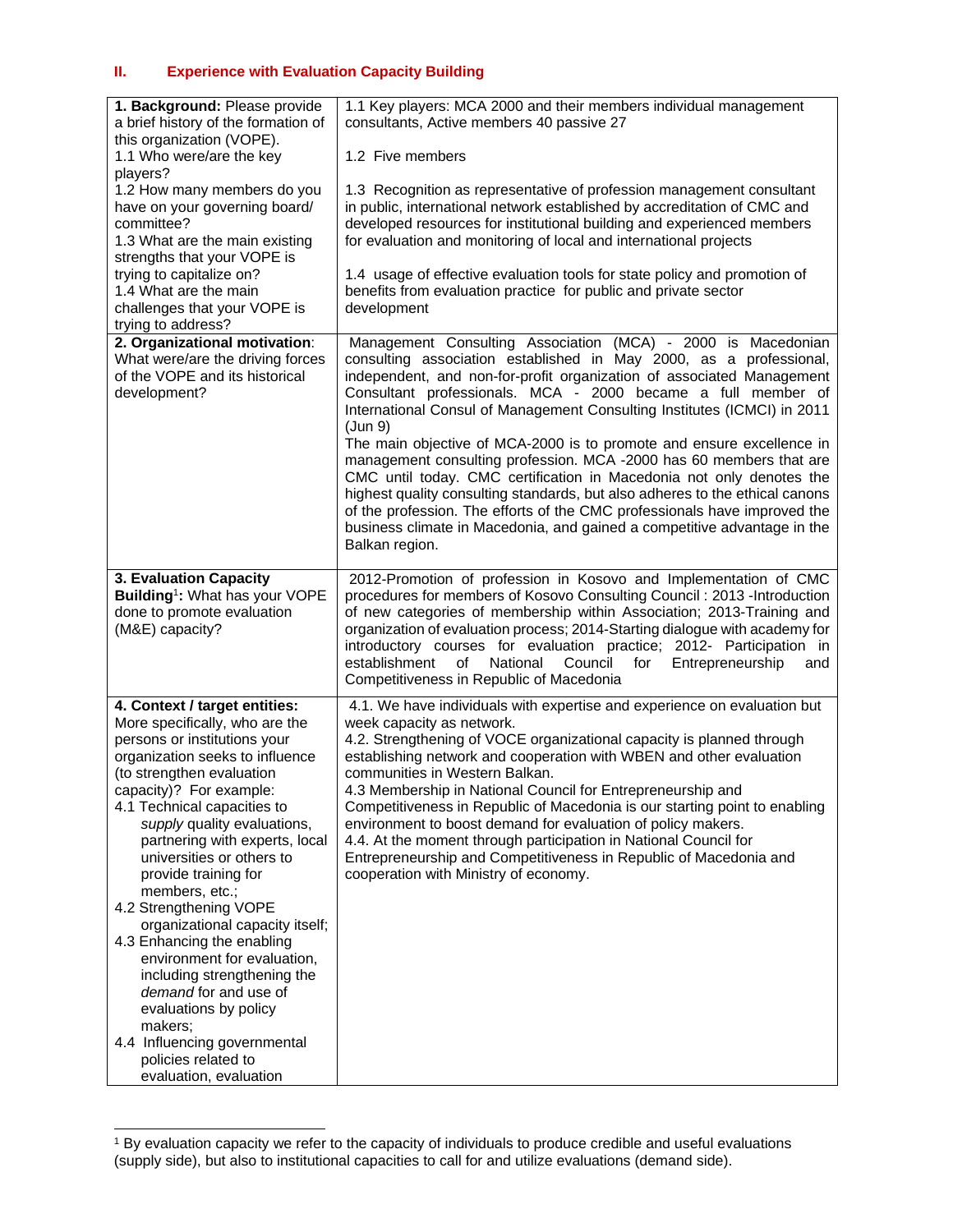| 1. Background: Please provide<br>a brief history of the formation of                                                                                                                                                                                                                                                                                                                                                                                                                                                                                                                                                                                                     | 1.1 Key players: MCA 2000 and their members individual management<br>consultants, Active members 40 passive 27                                                                                                                                                                                                                                                                                                                                                                                                                                                                                                                                                                                                                                                                                                                                        |
|--------------------------------------------------------------------------------------------------------------------------------------------------------------------------------------------------------------------------------------------------------------------------------------------------------------------------------------------------------------------------------------------------------------------------------------------------------------------------------------------------------------------------------------------------------------------------------------------------------------------------------------------------------------------------|-------------------------------------------------------------------------------------------------------------------------------------------------------------------------------------------------------------------------------------------------------------------------------------------------------------------------------------------------------------------------------------------------------------------------------------------------------------------------------------------------------------------------------------------------------------------------------------------------------------------------------------------------------------------------------------------------------------------------------------------------------------------------------------------------------------------------------------------------------|
| this organization (VOPE).<br>1.1 Who were/are the key<br>players?                                                                                                                                                                                                                                                                                                                                                                                                                                                                                                                                                                                                        | 1.2 Five members                                                                                                                                                                                                                                                                                                                                                                                                                                                                                                                                                                                                                                                                                                                                                                                                                                      |
| 1.2 How many members do you<br>have on your governing board/<br>committee?<br>1.3 What are the main existing<br>strengths that your VOPE is                                                                                                                                                                                                                                                                                                                                                                                                                                                                                                                              | 1.3 Recognition as representative of profession management consultant<br>in public, international network established by accreditation of CMC and<br>developed resources for institutional building and experienced members<br>for evaluation and monitoring of local and international projects                                                                                                                                                                                                                                                                                                                                                                                                                                                                                                                                                      |
| trying to capitalize on?<br>1.4 What are the main<br>challenges that your VOPE is<br>trying to address?                                                                                                                                                                                                                                                                                                                                                                                                                                                                                                                                                                  | 1.4 usage of effective evaluation tools for state policy and promotion of<br>benefits from evaluation practice for public and private sector<br>development                                                                                                                                                                                                                                                                                                                                                                                                                                                                                                                                                                                                                                                                                           |
| 2. Organizational motivation:<br>What were/are the driving forces<br>of the VOPE and its historical<br>development?                                                                                                                                                                                                                                                                                                                                                                                                                                                                                                                                                      | Management Consulting Association (MCA) - 2000 is Macedonian<br>consulting association established in May 2000, as a professional,<br>independent, and non-for-profit organization of associated Management<br>Consultant professionals. MCA - 2000 became a full member of<br>International Consul of Management Consulting Institutes (ICMCI) in 2011<br>(Jun 9)<br>The main objective of MCA-2000 is to promote and ensure excellence in<br>management consulting profession. MCA -2000 has 60 members that are<br>CMC until today. CMC certification in Macedonia not only denotes the<br>highest quality consulting standards, but also adheres to the ethical canons<br>of the profession. The efforts of the CMC professionals have improved the<br>business climate in Macedonia, and gained a competitive advantage in the<br>Balkan region. |
| 3. Evaluation Capacity<br>Building <sup>1</sup> : What has your VOPE<br>done to promote evaluation<br>(M&E) capacity?                                                                                                                                                                                                                                                                                                                                                                                                                                                                                                                                                    | 2012-Promotion of profession in Kosovo and Implementation of CMC<br>procedures for members of Kosovo Consulting Council: 2013 - Introduction<br>of new categories of membership within Association; 2013-Training and<br>organization of evaluation process; 2014-Starting dialogue with academy for<br>introductory courses for evaluation practice; 2012- Participation in<br>establishment<br>National<br>of l<br>Council<br>for<br>Entrepreneurship<br>and<br>Competitiveness in Republic of Macedonia                                                                                                                                                                                                                                                                                                                                            |
| 4. Context / target entities:<br>More specifically, who are the<br>persons or institutions your<br>organization seeks to influence<br>(to strengthen evaluation<br>capacity)? For example:<br>4.1 Technical capacities to<br>supply quality evaluations,<br>partnering with experts, local<br>universities or others to<br>provide training for<br>members, etc.;<br>4.2 Strengthening VOPE<br>organizational capacity itself;<br>4.3 Enhancing the enabling<br>environment for evaluation,<br>including strengthening the<br>demand for and use of<br>evaluations by policy<br>makers;<br>4.4 Influencing governmental<br>policies related to<br>evaluation, evaluation | 4.1. We have individuals with expertise and experience on evaluation but<br>week capacity as network.<br>4.2. Strengthening of VOCE organizational capacity is planned through<br>establishing network and cooperation with WBEN and other evaluation<br>communities in Western Balkan.<br>4.3 Membership in National Council for Entrepreneurship and<br>Competitiveness in Republic of Macedonia is our starting point to enabling<br>environment to boost demand for evaluation of policy makers.<br>4.4. At the moment through participation in National Council for<br>Entrepreneurship and Competitiveness in Republic of Macedonia and<br>cooperation with Ministry of economy.                                                                                                                                                                |

<sup>1</sup> By evaluation capacity we refer to the capacity of individuals to produce credible and useful evaluations (supply side), but also to institutional capacities to call for and utilize evaluations (demand side).

 $\overline{a}$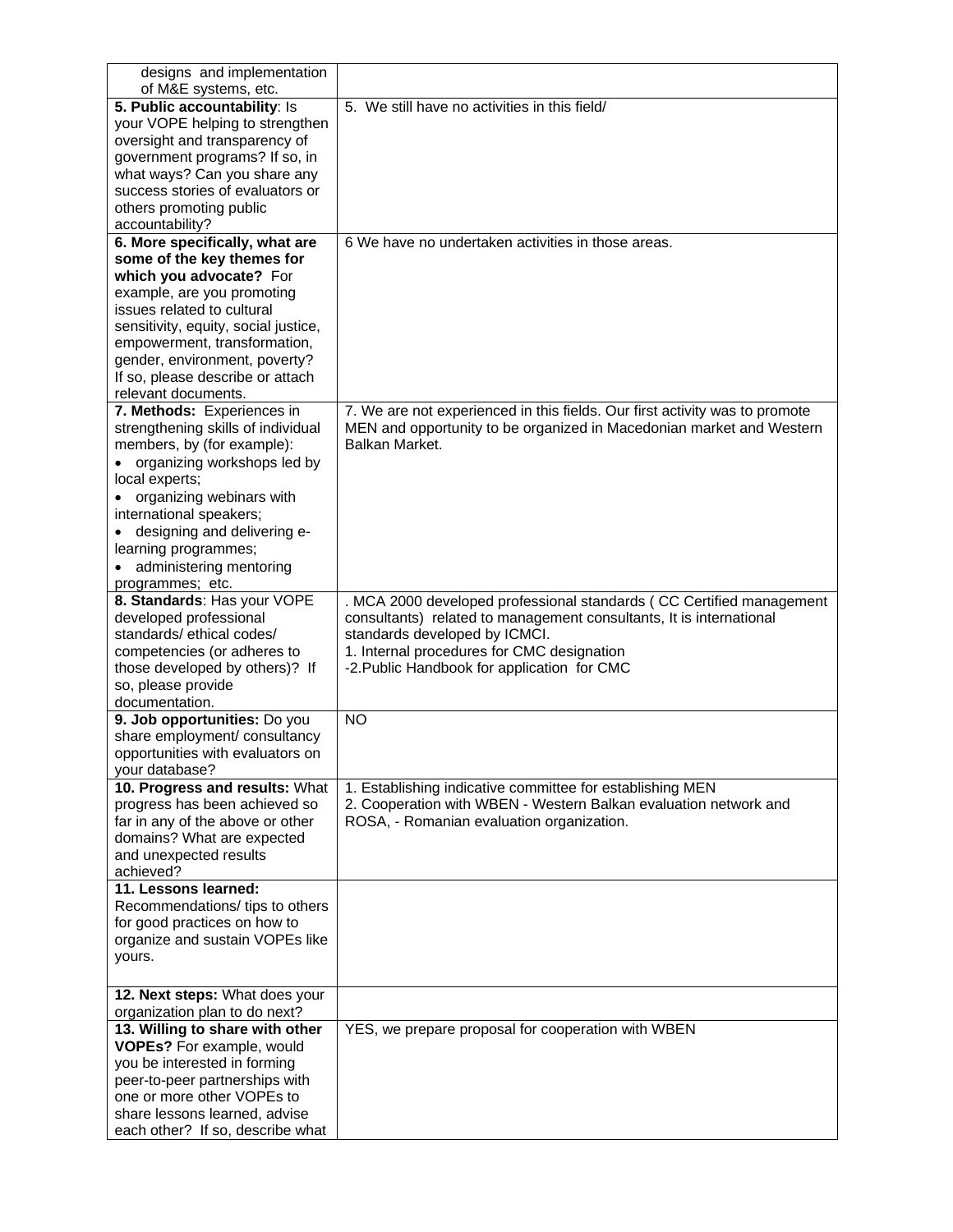| designs and implementation           |                                                                             |
|--------------------------------------|-----------------------------------------------------------------------------|
| of M&E systems, etc.                 |                                                                             |
| 5. Public accountability: Is         | 5. We still have no activities in this field/                               |
| your VOPE helping to strengthen      |                                                                             |
| oversight and transparency of        |                                                                             |
| government programs? If so, in       |                                                                             |
| what ways? Can you share any         |                                                                             |
| success stories of evaluators or     |                                                                             |
| others promoting public              |                                                                             |
| accountability?                      |                                                                             |
| 6. More specifically, what are       | 6 We have no undertaken activities in those areas.                          |
| some of the key themes for           |                                                                             |
| which you advocate? For              |                                                                             |
| example, are you promoting           |                                                                             |
| issues related to cultural           |                                                                             |
| sensitivity, equity, social justice, |                                                                             |
| empowerment, transformation,         |                                                                             |
| gender, environment, poverty?        |                                                                             |
| If so, please describe or attach     |                                                                             |
| relevant documents.                  |                                                                             |
| 7. Methods: Experiences in           | 7. We are not experienced in this fields. Our first activity was to promote |
| strengthening skills of individual   | MEN and opportunity to be organized in Macedonian market and Western        |
| members, by (for example):           | Balkan Market.                                                              |
| organizing workshops led by          |                                                                             |
| local experts;                       |                                                                             |
| organizing webinars with             |                                                                             |
| international speakers;              |                                                                             |
| designing and delivering e-          |                                                                             |
|                                      |                                                                             |
| learning programmes;                 |                                                                             |
| administering mentoring              |                                                                             |
| programmes; etc.                     |                                                                             |
| 8. Standards: Has your VOPE          | MCA 2000 developed professional standards (CC Certified management          |
| developed professional               | consultants) related to management consultants, It is international         |
| standards/ethical codes/             | standards developed by ICMCI.                                               |
| competencies (or adheres to          | 1. Internal procedures for CMC designation                                  |
| those developed by others)? If       | -2. Public Handbook for application for CMC                                 |
| so, please provide                   |                                                                             |
| documentation.                       |                                                                             |
| 9. Job opportunities: Do you         | <b>NO</b>                                                                   |
| share employment/ consultancy        |                                                                             |
| opportunities with evaluators on     |                                                                             |
| your database?                       |                                                                             |
| 10. Progress and results: What       | 1. Establishing indicative committee for establishing MEN                   |
| progress has been achieved so        | 2. Cooperation with WBEN - Western Balkan evaluation network and            |
| far in any of the above or other     | ROSA, - Romanian evaluation organization.                                   |
| domains? What are expected           |                                                                             |
| and unexpected results               |                                                                             |
| achieved?                            |                                                                             |
| 11. Lessons learned:                 |                                                                             |
| Recommendations/ tips to others      |                                                                             |
| for good practices on how to         |                                                                             |
| organize and sustain VOPEs like      |                                                                             |
| yours.                               |                                                                             |
|                                      |                                                                             |
| 12. Next steps: What does your       |                                                                             |
| organization plan to do next?        |                                                                             |
| 13. Willing to share with other      | YES, we prepare proposal for cooperation with WBEN                          |
| VOPEs? For example, would            |                                                                             |
| you be interested in forming         |                                                                             |
| peer-to-peer partnerships with       |                                                                             |
| one or more other VOPEs to           |                                                                             |
| share lessons learned, advise        |                                                                             |
| each other? If so, describe what     |                                                                             |